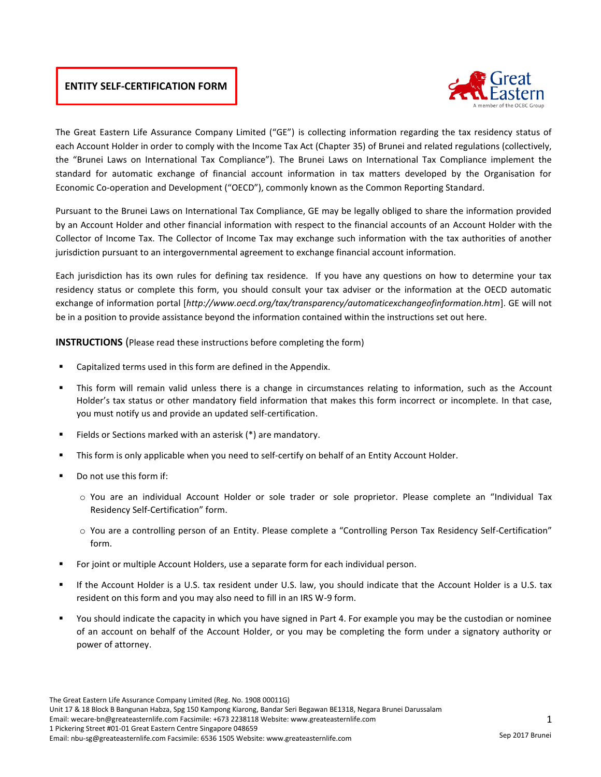# **ENTITY SELF-CERTIFICATION FORM**



The Great Eastern Life Assurance Company Limited ("GE") is collecting information regarding the tax residency status of each Account Holder in order to comply with the Income Tax Act (Chapter 35) of Brunei and related regulations (collectively, the "Brunei Laws on International Tax Compliance"). The Brunei Laws on International Tax Compliance implement the standard for automatic exchange of financial account information in tax matters developed by the Organisation for Economic Co-operation and Development ("OECD"), commonly known as the Common Reporting Standard.

Pursuant to the Brunei Laws on International Tax Compliance, GE may be legally obliged to share the information provided by an Account Holder and other financial information with respect to the financial accounts of an Account Holder with the Collector of Income Tax. The Collector of Income Tax may exchange such information with the tax authorities of another jurisdiction pursuant to an intergovernmental agreement to exchange financial account information.

Each jurisdiction has its own rules for defining tax residence. If you have any questions on how to determine your tax residency status or complete this form, you should consult your tax adviser or the information at the OECD automatic exchange of information portal [*http://www.oecd.org/tax/transparency/automaticexchangeofinformation.htm*]. GE will not be in a position to provide assistance beyond the information contained within the instructions set out here.

**INSTRUCTIONS** (Please read these instructions before completing the form)

- **EXEC** Capitalized terms used in this form are defined in the Appendix.
- This form will remain valid unless there is a change in circumstances relating to information, such as the Account Holder's tax status or other mandatory field information that makes this form incorrect or incomplete. In that case, you must notify us and provide an updated self-certification.
- Fields or Sections marked with an asterisk (\*) are mandatory.
- This form is only applicable when you need to self-certify on behalf of an Entity Account Holder.
- Do not use this form if:
	- o You are an individual Account Holder or sole trader or sole proprietor. Please complete an "Individual Tax Residency Self-Certification" form.
	- $\circ$  You are a controlling person of an Entity. Please complete a "Controlling Person Tax Residency Self-Certification" form.
- For joint or multiple Account Holders, use a separate form for each individual person.
- If the Account Holder is a U.S. tax resident under U.S. law, you should indicate that the Account Holder is a U.S. tax resident on this form and you may also need to fill in an IRS W-9 form.
- You should indicate the capacity in which you have signed in Part 4. For example you may be the custodian or nominee of an account on behalf of the Account Holder, or you may be completing the form under a signatory authority or power of attorney.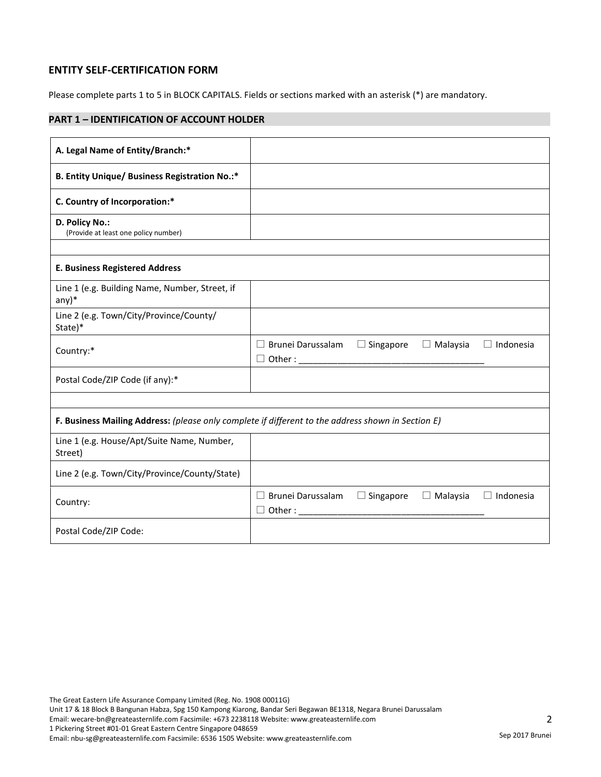# **ENTITY SELF-CERTIFICATION FORM**

Please complete parts 1 to 5 in BLOCK CAPITALS. Fields or sections marked with an asterisk (\*) are mandatory.

# **PART 1 – IDENTIFICATION OF ACCOUNT HOLDER**

| A. Legal Name of Entity/Branch:*                                                                   |                                                |                  |                 |                  |
|----------------------------------------------------------------------------------------------------|------------------------------------------------|------------------|-----------------|------------------|
| <b>B. Entity Unique/ Business Registration No.:*</b>                                               |                                                |                  |                 |                  |
| C. Country of Incorporation:*                                                                      |                                                |                  |                 |                  |
| D. Policy No.:<br>(Provide at least one policy number)                                             |                                                |                  |                 |                  |
|                                                                                                    |                                                |                  |                 |                  |
| <b>E. Business Registered Address</b>                                                              |                                                |                  |                 |                  |
| Line 1 (e.g. Building Name, Number, Street, if<br>$any)*$                                          |                                                |                  |                 |                  |
| Line 2 (e.g. Town/City/Province/County/<br>State)*                                                 |                                                |                  |                 |                  |
| Country:*                                                                                          | $\Box$ Brunei Darussalam                       | $\Box$ Singapore | $\Box$ Malaysia | $\Box$ Indonesia |
| Postal Code/ZIP Code (if any):*                                                                    |                                                |                  |                 |                  |
|                                                                                                    |                                                |                  |                 |                  |
| F. Business Mailing Address: (please only complete if different to the address shown in Section E) |                                                |                  |                 |                  |
| Line 1 (e.g. House/Apt/Suite Name, Number,<br>Street)                                              |                                                |                  |                 |                  |
| Line 2 (e.g. Town/City/Province/County/State)                                                      |                                                |                  |                 |                  |
| Country:                                                                                           | $\Box$ Brunei Darussalam<br>$\Box$ Other : ___ | $\Box$ Singapore | $\Box$ Malaysia | $\Box$ Indonesia |
| Postal Code/ZIP Code:                                                                              |                                                |                  |                 |                  |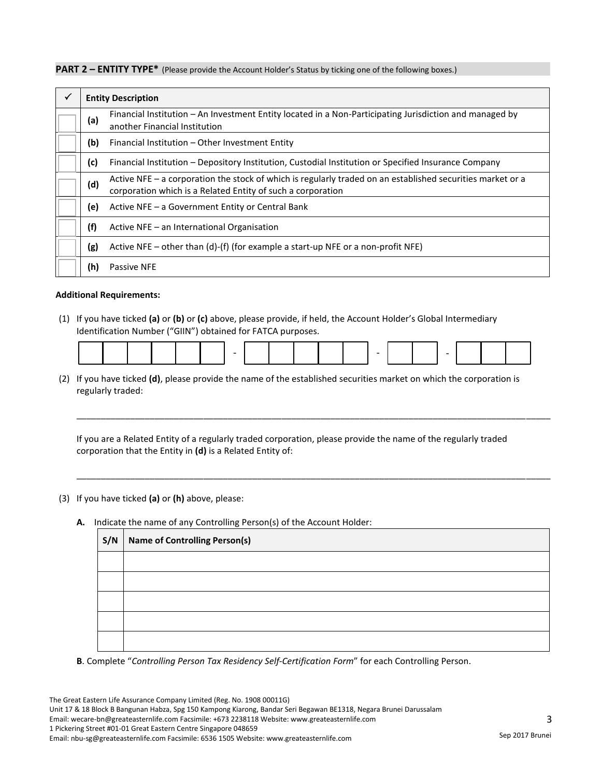**PART 2 – ENTITY TYPE\*** (Please provide the Account Holder's Status by ticking one of the following boxes.)

| $\checkmark$ |     | <b>Entity Description</b>                                                                                                                                                 |
|--------------|-----|---------------------------------------------------------------------------------------------------------------------------------------------------------------------------|
|              | (a) | Financial Institution – An Investment Entity located in a Non-Participating Jurisdiction and managed by<br>another Financial Institution                                  |
|              | (b) | Financial Institution - Other Investment Entity                                                                                                                           |
|              | (c) | Financial Institution – Depository Institution, Custodial Institution or Specified Insurance Company                                                                      |
|              | (d) | Active NFE – a corporation the stock of which is regularly traded on an established securities market or a<br>corporation which is a Related Entity of such a corporation |
|              | (e) | Active NFE – a Government Entity or Central Bank                                                                                                                          |
|              | (f) | Active NFE – an International Organisation                                                                                                                                |
|              | (g) | Active NFE – other than (d)-(f) (for example a start-up NFE or a non-profit NFE)                                                                                          |
|              | (h) | <b>Passive NFE</b>                                                                                                                                                        |

#### **Additional Requirements:**

(1) If you have ticked **(a)** or **(b)** or **(c)** above, please provide, if held, the Account Holder's Global Intermediary Identification Number ("GIIN") obtained for FATCA purposes.

|--|--|

\_\_\_\_\_\_\_\_\_\_\_\_\_\_\_\_\_\_\_\_\_\_\_\_\_\_\_\_\_\_\_\_\_\_\_\_\_\_\_\_\_\_\_\_\_\_\_\_\_\_\_\_\_\_\_\_\_\_\_\_\_\_\_\_\_\_\_\_\_\_\_\_\_\_\_\_\_\_\_\_\_\_\_\_\_\_\_\_\_\_\_\_\_\_\_\_\_

\_\_\_\_\_\_\_\_\_\_\_\_\_\_\_\_\_\_\_\_\_\_\_\_\_\_\_\_\_\_\_\_\_\_\_\_\_\_\_\_\_\_\_\_\_\_\_\_\_\_\_\_\_\_\_\_\_\_\_\_\_\_\_\_\_\_\_\_\_\_\_\_\_\_\_\_\_\_\_\_\_\_\_\_\_\_\_\_\_\_\_\_\_\_\_\_\_

(2) If you have ticked **(d)**, please provide the name of the established securities market on which the corporation is regularly traded:

If you are a Related Entity of a regularly traded corporation, please provide the name of the regularly traded corporation that the Entity in **(d)** is a Related Entity of:

(3) If you have ticked **(a)** or **(h)** above, please:

**S/N Name of Controlling Person(s)**

**A.** Indicate the name of any Controlling Person(s) of the Account Holder:

**B**. Complete "*Controlling Person Tax Residency Self-Certification Form*" for each Controlling Person.

The Great Eastern Life Assurance Company Limited (Reg. No. 1908 00011G) Unit 17 & 18 Block B Bangunan Habza, Spg 150 Kampong Kiarong, Bandar Seri Begawan BE1318, Negara Brunei Darussalam Email: wecare-bn@greateasternlife.com Facsimile: +673 2238118 Website: www.greateasternlife.com 1 Pickering Street #01-01 Great Eastern Centre Singapore 048659 Email: nbu-sg@greateasternlife.com Facsimile: 6536 1505 Website: www.greateasternlife.com Sep 2017 Brunei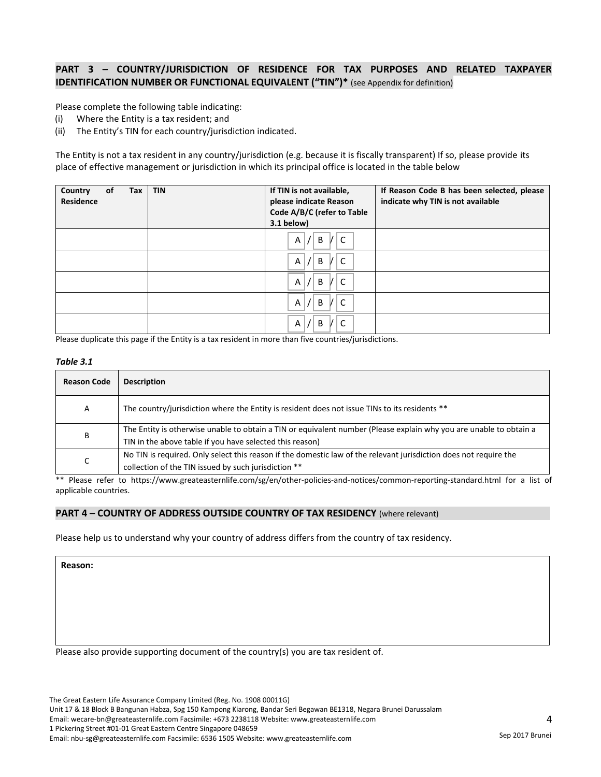### **PART 3 – COUNTRY/JURISDICTION OF RESIDENCE FOR TAX PURPOSES AND RELATED TAXPAYER IDENTIFICATION NUMBER OR FUNCTIONAL EQUIVALENT ("TIN")\*** (see Appendix for definition)

Please complete the following table indicating:

- (i) Where the Entity is a tax resident; and
- (ii) The Entity's TIN for each country/jurisdiction indicated.

The Entity is not a tax resident in any country/jurisdiction (e.g. because it is fiscally transparent) If so, please provide its place of effective management or jurisdiction in which its principal office is located in the table below

| <b>of</b><br>Country<br>Tax<br><b>Residence</b> | <b>TIN</b> | If TIN is not available,<br>please indicate Reason<br>Code A/B/C (refer to Table<br>$3.1$ below) | If Reason Code B has been selected, please<br>indicate why TIN is not available |
|-------------------------------------------------|------------|--------------------------------------------------------------------------------------------------|---------------------------------------------------------------------------------|
|                                                 |            | C<br>B<br>A                                                                                      |                                                                                 |
|                                                 |            | B<br>C<br>Α                                                                                      |                                                                                 |
|                                                 |            | B<br>C<br>Α                                                                                      |                                                                                 |
|                                                 |            | B<br>C<br>A                                                                                      |                                                                                 |
|                                                 |            | B<br>C<br>Α                                                                                      |                                                                                 |

Please duplicate this page if the Entity is a tax resident in more than five countries/jurisdictions.

#### *Table 3.1*

| <b>Reason Code</b> | <b>Description</b>                                                                                                 |
|--------------------|--------------------------------------------------------------------------------------------------------------------|
| A                  | The country/jurisdiction where the Entity is resident does not issue TINs to its residents **                      |
| B                  | The Entity is otherwise unable to obtain a TIN or equivalent number (Please explain why you are unable to obtain a |
|                    | TIN in the above table if you have selected this reason)                                                           |
| r<br>◡             | No TIN is required. Only select this reason if the domestic law of the relevant jurisdiction does not require the  |
|                    | collection of the TIN issued by such jurisdiction **                                                               |

\*\* Please refer to https://www.greateasternlife.com/sg/en/other-policies-and-notices/common-reporting-standard.html for a list of applicable countries.

#### **PART 4 – COUNTRY OF ADDRESS OUTSIDE COUNTRY OF TAX RESIDENCY** (where relevant)

Please help us to understand why your country of address differs from the country of tax residency.

**Reason:**

Please also provide supporting document of the country(s) you are tax resident of.

The Great Eastern Life Assurance Company Limited (Reg. No. 1908 00011G)

Unit 17 & 18 Block B Bangunan Habza, Spg 150 Kampong Kiarong, Bandar Seri Begawan BE1318, Negara Brunei Darussalam

Email: wecare-bn@greateasternlife.com Facsimile: +673 2238118 Website: www.greateasternlife.com

1 Pickering Street #01-01 Great Eastern Centre Singapore 048659

Email: nbu-sg@greateasternlife.com Facsimile: 6536 1505 Website: www.greateasternlife.com Sep 2017 Brunei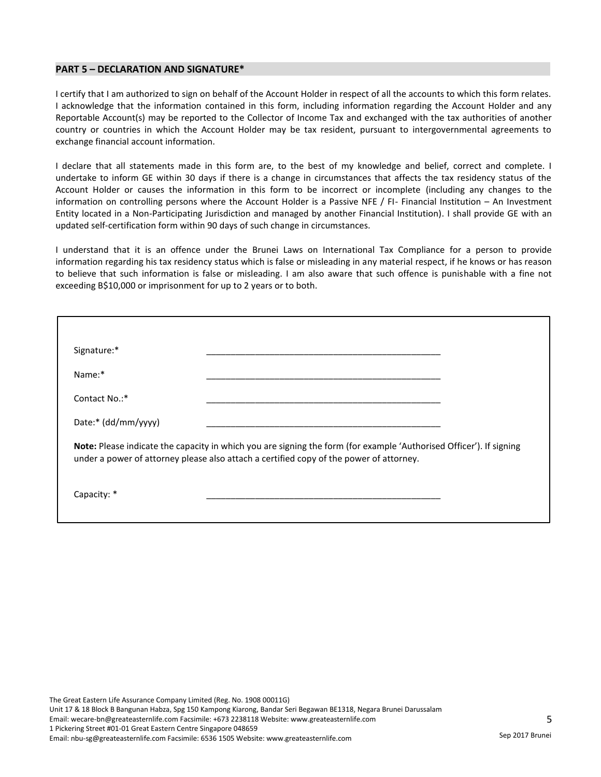#### **PART 5 – DECLARATION AND SIGNATURE\***

I certify that I am authorized to sign on behalf of the Account Holder in respect of all the accounts to which this form relates. I acknowledge that the information contained in this form, including information regarding the Account Holder and any Reportable Account(s) may be reported to the Collector of Income Tax and exchanged with the tax authorities of another country or countries in which the Account Holder may be tax resident, pursuant to intergovernmental agreements to exchange financial account information.

I declare that all statements made in this form are, to the best of my knowledge and belief, correct and complete. I undertake to inform GE within 30 days if there is a change in circumstances that affects the tax residency status of the Account Holder or causes the information in this form to be incorrect or incomplete (including any changes to the information on controlling persons where the Account Holder is a Passive NFE / FI- Financial Institution – An Investment Entity located in a Non-Participating Jurisdiction and managed by another Financial Institution). I shall provide GE with an updated self-certification form within 90 days of such change in circumstances.

I understand that it is an offence under the Brunei Laws on International Tax Compliance for a person to provide information regarding his tax residency status which is false or misleading in any material respect, if he knows or has reason to believe that such information is false or misleading. I am also aware that such offence is punishable with a fine not exceeding B\$10,000 or imprisonment for up to 2 years or to both.

| Signature:*                                                                                                                                                                                                    |  |  |
|----------------------------------------------------------------------------------------------------------------------------------------------------------------------------------------------------------------|--|--|
| Name:*                                                                                                                                                                                                         |  |  |
| Contact No.:*                                                                                                                                                                                                  |  |  |
| Date:* (dd/mm/yyyy)                                                                                                                                                                                            |  |  |
| Note: Please indicate the capacity in which you are signing the form (for example 'Authorised Officer'). If signing<br>under a power of attorney please also attach a certified copy of the power of attorney. |  |  |
| Capacity: *                                                                                                                                                                                                    |  |  |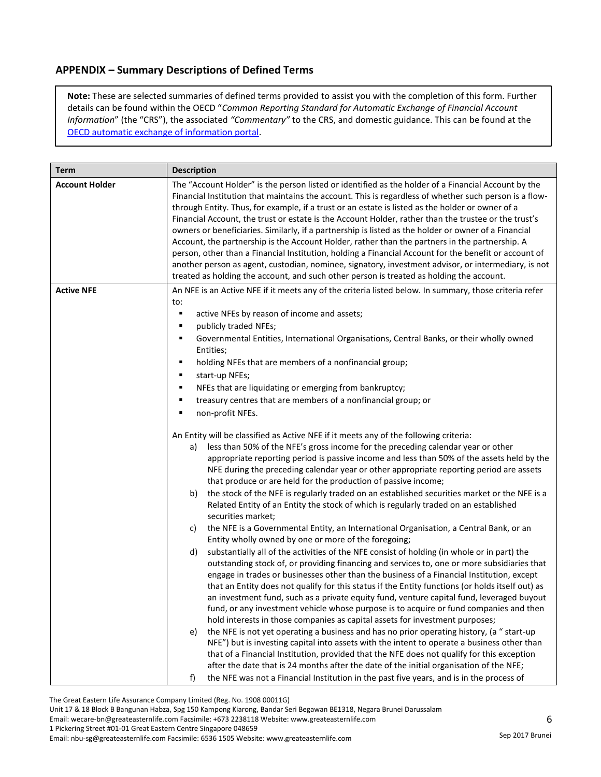# **APPENDIX – Summary Descriptions of Defined Terms**

**Note:** These are selected summaries of defined terms provided to assist you with the completion of this form. Further details can be found within the OECD "*Common Reporting Standard for Automatic Exchange of Financial Account Information*" (the "CRS"), the associated *"Commentary"* to the CRS, and domestic guidance. This can be found at the OECD automatic exchange of information portal.

| <b>Term</b>           | <b>Description</b>                                                                                                                                                                                                                                                                                                                                                                                                                                                                                                                                                                                                                                                                                                                                                                                                                                                                                                                                                                                                                                                                                                                                                                                                                                                                                                                                                                                                                                                                                                                                                                                                                                                                                                                                                                                                                                                                                                                                                                                                                                                                                                                                                                                                                                                                                                                                                                                                                                                                                                                                                   |
|-----------------------|----------------------------------------------------------------------------------------------------------------------------------------------------------------------------------------------------------------------------------------------------------------------------------------------------------------------------------------------------------------------------------------------------------------------------------------------------------------------------------------------------------------------------------------------------------------------------------------------------------------------------------------------------------------------------------------------------------------------------------------------------------------------------------------------------------------------------------------------------------------------------------------------------------------------------------------------------------------------------------------------------------------------------------------------------------------------------------------------------------------------------------------------------------------------------------------------------------------------------------------------------------------------------------------------------------------------------------------------------------------------------------------------------------------------------------------------------------------------------------------------------------------------------------------------------------------------------------------------------------------------------------------------------------------------------------------------------------------------------------------------------------------------------------------------------------------------------------------------------------------------------------------------------------------------------------------------------------------------------------------------------------------------------------------------------------------------------------------------------------------------------------------------------------------------------------------------------------------------------------------------------------------------------------------------------------------------------------------------------------------------------------------------------------------------------------------------------------------------------------------------------------------------------------------------------------------------|
| <b>Account Holder</b> | The "Account Holder" is the person listed or identified as the holder of a Financial Account by the<br>Financial Institution that maintains the account. This is regardless of whether such person is a flow-<br>through Entity. Thus, for example, if a trust or an estate is listed as the holder or owner of a<br>Financial Account, the trust or estate is the Account Holder, rather than the trustee or the trust's<br>owners or beneficiaries. Similarly, if a partnership is listed as the holder or owner of a Financial<br>Account, the partnership is the Account Holder, rather than the partners in the partnership. A<br>person, other than a Financial Institution, holding a Financial Account for the benefit or account of<br>another person as agent, custodian, nominee, signatory, investment advisor, or intermediary, is not<br>treated as holding the account, and such other person is treated as holding the account.                                                                                                                                                                                                                                                                                                                                                                                                                                                                                                                                                                                                                                                                                                                                                                                                                                                                                                                                                                                                                                                                                                                                                                                                                                                                                                                                                                                                                                                                                                                                                                                                                      |
| <b>Active NFE</b>     | An NFE is an Active NFE if it meets any of the criteria listed below. In summary, those criteria refer<br>to:<br>active NFEs by reason of income and assets;<br>٠<br>publicly traded NFEs;<br>п<br>Governmental Entities, International Organisations, Central Banks, or their wholly owned<br>٠<br>Entities;<br>holding NFEs that are members of a nonfinancial group;<br>٠<br>٠<br>start-up NFEs;<br>NFEs that are liquidating or emerging from bankruptcy;<br>٠<br>treasury centres that are members of a nonfinancial group; or<br>٠<br>non-profit NFEs.<br>п<br>An Entity will be classified as Active NFE if it meets any of the following criteria:<br>less than 50% of the NFE's gross income for the preceding calendar year or other<br>a)<br>appropriate reporting period is passive income and less than 50% of the assets held by the<br>NFE during the preceding calendar year or other appropriate reporting period are assets<br>that produce or are held for the production of passive income;<br>the stock of the NFE is regularly traded on an established securities market or the NFE is a<br>b)<br>Related Entity of an Entity the stock of which is regularly traded on an established<br>securities market;<br>the NFE is a Governmental Entity, an International Organisation, a Central Bank, or an<br>c)<br>Entity wholly owned by one or more of the foregoing;<br>substantially all of the activities of the NFE consist of holding (in whole or in part) the<br>d)<br>outstanding stock of, or providing financing and services to, one or more subsidiaries that<br>engage in trades or businesses other than the business of a Financial Institution, except<br>that an Entity does not qualify for this status if the Entity functions (or holds itself out) as<br>an investment fund, such as a private equity fund, venture capital fund, leveraged buyout<br>fund, or any investment vehicle whose purpose is to acquire or fund companies and then<br>hold interests in those companies as capital assets for investment purposes;<br>the NFE is not yet operating a business and has no prior operating history, (a " start-up<br>e)<br>NFE") but is investing capital into assets with the intent to operate a business other than<br>that of a Financial Institution, provided that the NFE does not qualify for this exception<br>after the date that is 24 months after the date of the initial organisation of the NFE;<br>the NFE was not a Financial Institution in the past five years, and is in the process of<br>f) |

The Great Eastern Life Assurance Company Limited (Reg. No. 1908 00011G)

Unit 17 & 18 Block B Bangunan Habza, Spg 150 Kampong Kiarong, Bandar Seri Begawan BE1318, Negara Brunei Darussalam

Email: wecare-bn@greateasternlife.com Facsimile: +673 2238118 Website: www.greateasternlife.com

1 Pickering Street #01-01 Great Eastern Centre Singapore 048659

Email: nbu-sg@greateasternlife.com Facsimile: 6536 1505 Website: www.greateasternlife.com Sep 2017 Brunei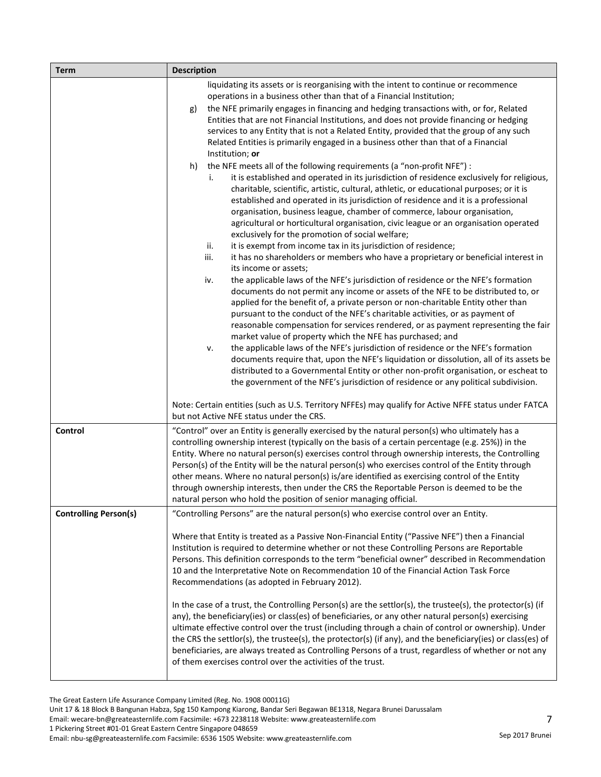| <b>Term</b>                  | <b>Description</b>                                                                                                                                                                                                                                                                                                                                                                                                                                                                                                                                                                                                                                                                                                                                                                                                                                                                                                                                                                                                                                                                                                                                                                                                                                                                                                                                                                                                                                                                                                                                                                                                                                                                                                                                                                                                                                                                                                                                                                                                                                                                                                                                                                                                                                                                                                                                                                      |  |
|------------------------------|-----------------------------------------------------------------------------------------------------------------------------------------------------------------------------------------------------------------------------------------------------------------------------------------------------------------------------------------------------------------------------------------------------------------------------------------------------------------------------------------------------------------------------------------------------------------------------------------------------------------------------------------------------------------------------------------------------------------------------------------------------------------------------------------------------------------------------------------------------------------------------------------------------------------------------------------------------------------------------------------------------------------------------------------------------------------------------------------------------------------------------------------------------------------------------------------------------------------------------------------------------------------------------------------------------------------------------------------------------------------------------------------------------------------------------------------------------------------------------------------------------------------------------------------------------------------------------------------------------------------------------------------------------------------------------------------------------------------------------------------------------------------------------------------------------------------------------------------------------------------------------------------------------------------------------------------------------------------------------------------------------------------------------------------------------------------------------------------------------------------------------------------------------------------------------------------------------------------------------------------------------------------------------------------------------------------------------------------------------------------------------------------|--|
|                              | liquidating its assets or is reorganising with the intent to continue or recommence<br>operations in a business other than that of a Financial Institution;<br>the NFE primarily engages in financing and hedging transactions with, or for, Related<br>g)<br>Entities that are not Financial Institutions, and does not provide financing or hedging<br>services to any Entity that is not a Related Entity, provided that the group of any such<br>Related Entities is primarily engaged in a business other than that of a Financial<br>Institution; or<br>the NFE meets all of the following requirements (a "non-profit NFE") :<br>h)<br>it is established and operated in its jurisdiction of residence exclusively for religious,<br>i.<br>charitable, scientific, artistic, cultural, athletic, or educational purposes; or it is<br>established and operated in its jurisdiction of residence and it is a professional<br>organisation, business league, chamber of commerce, labour organisation,<br>agricultural or horticultural organisation, civic league or an organisation operated<br>exclusively for the promotion of social welfare;<br>ii.<br>it is exempt from income tax in its jurisdiction of residence;<br>iii.<br>it has no shareholders or members who have a proprietary or beneficial interest in<br>its income or assets;<br>the applicable laws of the NFE's jurisdiction of residence or the NFE's formation<br>iv.<br>documents do not permit any income or assets of the NFE to be distributed to, or<br>applied for the benefit of, a private person or non-charitable Entity other than<br>pursuant to the conduct of the NFE's charitable activities, or as payment of<br>reasonable compensation for services rendered, or as payment representing the fair<br>market value of property which the NFE has purchased; and<br>the applicable laws of the NFE's jurisdiction of residence or the NFE's formation<br>ν.<br>documents require that, upon the NFE's liquidation or dissolution, all of its assets be<br>distributed to a Governmental Entity or other non-profit organisation, or escheat to<br>the government of the NFE's jurisdiction of residence or any political subdivision.<br>Note: Certain entities (such as U.S. Territory NFFEs) may qualify for Active NFFE status under FATCA<br>but not Active NFE status under the CRS. |  |
| Control                      | "Control" over an Entity is generally exercised by the natural person(s) who ultimately has a<br>controlling ownership interest (typically on the basis of a certain percentage (e.g. 25%)) in the<br>Entity. Where no natural person(s) exercises control through ownership interests, the Controlling<br>Person(s) of the Entity will be the natural person(s) who exercises control of the Entity through<br>other means. Where no natural person(s) is/are identified as exercising control of the Entity<br>through ownership interests, then under the CRS the Reportable Person is deemed to be the<br>natural person who hold the position of senior managing official.                                                                                                                                                                                                                                                                                                                                                                                                                                                                                                                                                                                                                                                                                                                                                                                                                                                                                                                                                                                                                                                                                                                                                                                                                                                                                                                                                                                                                                                                                                                                                                                                                                                                                                         |  |
| <b>Controlling Person(s)</b> | "Controlling Persons" are the natural person(s) who exercise control over an Entity.                                                                                                                                                                                                                                                                                                                                                                                                                                                                                                                                                                                                                                                                                                                                                                                                                                                                                                                                                                                                                                                                                                                                                                                                                                                                                                                                                                                                                                                                                                                                                                                                                                                                                                                                                                                                                                                                                                                                                                                                                                                                                                                                                                                                                                                                                                    |  |
|                              | Where that Entity is treated as a Passive Non-Financial Entity ("Passive NFE") then a Financial<br>Institution is required to determine whether or not these Controlling Persons are Reportable<br>Persons. This definition corresponds to the term "beneficial owner" described in Recommendation<br>10 and the Interpretative Note on Recommendation 10 of the Financial Action Task Force<br>Recommendations (as adopted in February 2012).<br>In the case of a trust, the Controlling Person(s) are the settlor(s), the trustee(s), the protector(s) (if<br>any), the beneficiary(ies) or class(es) of beneficiaries, or any other natural person(s) exercising<br>ultimate effective control over the trust (including through a chain of control or ownership). Under<br>the CRS the settlor(s), the trustee(s), the protector(s) (if any), and the beneficiary(ies) or class(es) of<br>beneficiaries, are always treated as Controlling Persons of a trust, regardless of whether or not any<br>of them exercises control over the activities of the trust.                                                                                                                                                                                                                                                                                                                                                                                                                                                                                                                                                                                                                                                                                                                                                                                                                                                                                                                                                                                                                                                                                                                                                                                                                                                                                                                      |  |

Email: wecare-bn@greateasternlife.com Facsimile: +673 2238118 Website: www.greateasternlife.com

7

Unit 17 & 18 Block B Bangunan Habza, Spg 150 Kampong Kiarong, Bandar Seri Begawan BE1318, Negara Brunei Darussalam

<sup>1</sup> Pickering Street #01-01 Great Eastern Centre Singapore 048659

Email: nbu-sg@greateasternlife.com Facsimile: 6536 1505 Website: www.greateasternlife.com Sep 2017 Brunei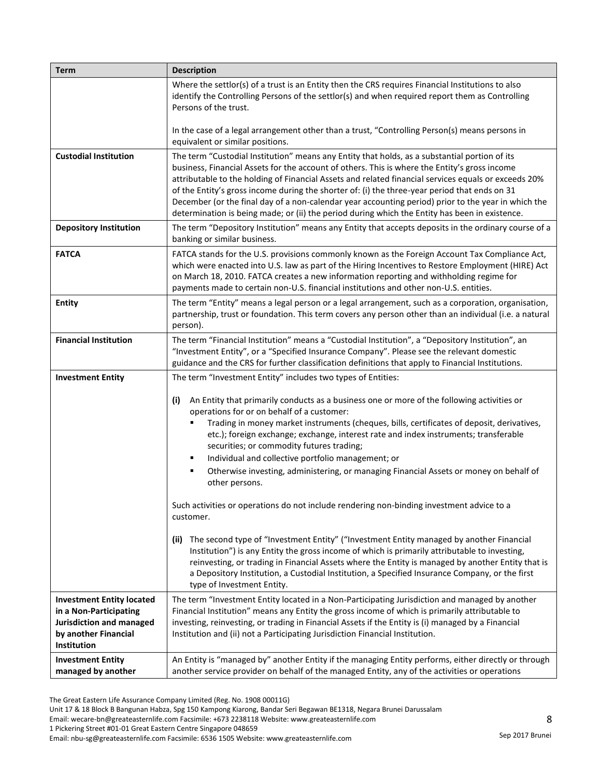| Term                                                                                                                          | <b>Description</b>                                                                                                                                                                                                                                                                                                                                                                                                                                                                                                                                                                                               |
|-------------------------------------------------------------------------------------------------------------------------------|------------------------------------------------------------------------------------------------------------------------------------------------------------------------------------------------------------------------------------------------------------------------------------------------------------------------------------------------------------------------------------------------------------------------------------------------------------------------------------------------------------------------------------------------------------------------------------------------------------------|
|                                                                                                                               | Where the settlor(s) of a trust is an Entity then the CRS requires Financial Institutions to also<br>identify the Controlling Persons of the settlor(s) and when required report them as Controlling<br>Persons of the trust.                                                                                                                                                                                                                                                                                                                                                                                    |
|                                                                                                                               | In the case of a legal arrangement other than a trust, "Controlling Person(s) means persons in<br>equivalent or similar positions.                                                                                                                                                                                                                                                                                                                                                                                                                                                                               |
| <b>Custodial Institution</b>                                                                                                  | The term "Custodial Institution" means any Entity that holds, as a substantial portion of its<br>business, Financial Assets for the account of others. This is where the Entity's gross income<br>attributable to the holding of Financial Assets and related financial services equals or exceeds 20%<br>of the Entity's gross income during the shorter of: (i) the three-year period that ends on 31<br>December (or the final day of a non-calendar year accounting period) prior to the year in which the<br>determination is being made; or (ii) the period during which the Entity has been in existence. |
| <b>Depository Institution</b>                                                                                                 | The term "Depository Institution" means any Entity that accepts deposits in the ordinary course of a<br>banking or similar business.                                                                                                                                                                                                                                                                                                                                                                                                                                                                             |
| <b>FATCA</b>                                                                                                                  | FATCA stands for the U.S. provisions commonly known as the Foreign Account Tax Compliance Act,<br>which were enacted into U.S. law as part of the Hiring Incentives to Restore Employment (HIRE) Act<br>on March 18, 2010. FATCA creates a new information reporting and withholding regime for<br>payments made to certain non-U.S. financial institutions and other non-U.S. entities.                                                                                                                                                                                                                         |
| <b>Entity</b>                                                                                                                 | The term "Entity" means a legal person or a legal arrangement, such as a corporation, organisation,<br>partnership, trust or foundation. This term covers any person other than an individual (i.e. a natural<br>person).                                                                                                                                                                                                                                                                                                                                                                                        |
| <b>Financial Institution</b>                                                                                                  | The term "Financial Institution" means a "Custodial Institution", a "Depository Institution", an<br>"Investment Entity", or a "Specified Insurance Company". Please see the relevant domestic<br>guidance and the CRS for further classification definitions that apply to Financial Institutions.                                                                                                                                                                                                                                                                                                               |
| <b>Investment Entity</b>                                                                                                      | The term "Investment Entity" includes two types of Entities:                                                                                                                                                                                                                                                                                                                                                                                                                                                                                                                                                     |
|                                                                                                                               | An Entity that primarily conducts as a business one or more of the following activities or<br>(i)<br>operations for or on behalf of a customer:<br>Trading in money market instruments (cheques, bills, certificates of deposit, derivatives,<br>etc.); foreign exchange; exchange, interest rate and index instruments; transferable<br>securities; or commodity futures trading;<br>Individual and collective portfolio management; or<br>Otherwise investing, administering, or managing Financial Assets or money on behalf of<br>other persons.                                                             |
|                                                                                                                               | Such activities or operations do not include rendering non-binding investment advice to a<br>customer.                                                                                                                                                                                                                                                                                                                                                                                                                                                                                                           |
|                                                                                                                               | (ii) The second type of "Investment Entity" ("Investment Entity managed by another Financial<br>Institution") is any Entity the gross income of which is primarily attributable to investing,<br>reinvesting, or trading in Financial Assets where the Entity is managed by another Entity that is<br>a Depository Institution, a Custodial Institution, a Specified Insurance Company, or the first<br>type of Investment Entity.                                                                                                                                                                               |
| <b>Investment Entity located</b><br>in a Non-Participating<br>Jurisdiction and managed<br>by another Financial<br>Institution | The term "Investment Entity located in a Non-Participating Jurisdiction and managed by another<br>Financial Institution" means any Entity the gross income of which is primarily attributable to<br>investing, reinvesting, or trading in Financial Assets if the Entity is (i) managed by a Financial<br>Institution and (ii) not a Participating Jurisdiction Financial Institution.                                                                                                                                                                                                                           |
| <b>Investment Entity</b><br>managed by another                                                                                | An Entity is "managed by" another Entity if the managing Entity performs, either directly or through<br>another service provider on behalf of the managed Entity, any of the activities or operations                                                                                                                                                                                                                                                                                                                                                                                                            |

Unit 17 & 18 Block B Bangunan Habza, Spg 150 Kampong Kiarong, Bandar Seri Begawan BE1318, Negara Brunei Darussalam

Email: wecare-bn@greateasternlife.com Facsimile: +673 2238118 Website: www.greateasternlife.com

1 Pickering Street #01-01 Great Eastern Centre Singapore 048659

Email: nbu-sg@greateasternlife.com Facsimile: 6536 1505 Website: www.greateasternlife.com Sep 2017 Brunei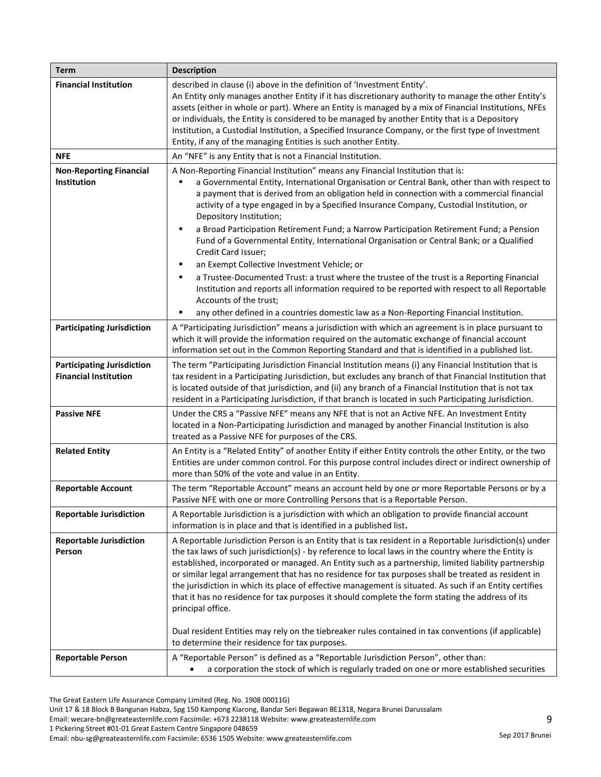| <b>Term</b>                                                       | <b>Description</b>                                                                                                                                                                                                                                                                                                                                                                                                                                                                                                                                                                                                                                                                                                                                                          |
|-------------------------------------------------------------------|-----------------------------------------------------------------------------------------------------------------------------------------------------------------------------------------------------------------------------------------------------------------------------------------------------------------------------------------------------------------------------------------------------------------------------------------------------------------------------------------------------------------------------------------------------------------------------------------------------------------------------------------------------------------------------------------------------------------------------------------------------------------------------|
| <b>Financial Institution</b>                                      | described in clause (i) above in the definition of 'Investment Entity'.<br>An Entity only manages another Entity if it has discretionary authority to manage the other Entity's<br>assets (either in whole or part). Where an Entity is managed by a mix of Financial Institutions, NFEs<br>or individuals, the Entity is considered to be managed by another Entity that is a Depository<br>Institution, a Custodial Institution, a Specified Insurance Company, or the first type of Investment<br>Entity, if any of the managing Entities is such another Entity.                                                                                                                                                                                                        |
| NFE                                                               | An "NFE" is any Entity that is not a Financial Institution.                                                                                                                                                                                                                                                                                                                                                                                                                                                                                                                                                                                                                                                                                                                 |
| <b>Non-Reporting Financial</b><br>Institution                     | A Non-Reporting Financial Institution" means any Financial Institution that is:<br>a Governmental Entity, International Organisation or Central Bank, other than with respect to<br>a payment that is derived from an obligation held in connection with a commercial financial<br>activity of a type engaged in by a Specified Insurance Company, Custodial Institution, or<br>Depository Institution;<br>a Broad Participation Retirement Fund; a Narrow Participation Retirement Fund; a Pension<br>٠                                                                                                                                                                                                                                                                    |
|                                                                   | Fund of a Governmental Entity, International Organisation or Central Bank; or a Qualified<br>Credit Card Issuer;                                                                                                                                                                                                                                                                                                                                                                                                                                                                                                                                                                                                                                                            |
|                                                                   | an Exempt Collective Investment Vehicle; or<br>٠<br>a Trustee-Documented Trust: a trust where the trustee of the trust is a Reporting Financial<br>٠<br>Institution and reports all information required to be reported with respect to all Reportable<br>Accounts of the trust;<br>any other defined in a countries domestic law as a Non-Reporting Financial Institution.<br>٠                                                                                                                                                                                                                                                                                                                                                                                            |
| <b>Participating Jurisdiction</b>                                 | A "Participating Jurisdiction" means a jurisdiction with which an agreement is in place pursuant to<br>which it will provide the information required on the automatic exchange of financial account<br>information set out in the Common Reporting Standard and that is identified in a published list.                                                                                                                                                                                                                                                                                                                                                                                                                                                                    |
| <b>Participating Jurisdiction</b><br><b>Financial Institution</b> | The term "Participating Jurisdiction Financial Institution means (i) any Financial Institution that is<br>tax resident in a Participating Jurisdiction, but excludes any branch of that Financial Institution that<br>is located outside of that jurisdiction, and (ii) any branch of a Financial Institution that is not tax<br>resident in a Participating Jurisdiction, if that branch is located in such Participating Jurisdiction.                                                                                                                                                                                                                                                                                                                                    |
| <b>Passive NFE</b>                                                | Under the CRS a "Passive NFE" means any NFE that is not an Active NFE. An Investment Entity<br>located in a Non-Participating Jurisdiction and managed by another Financial Institution is also<br>treated as a Passive NFE for purposes of the CRS.                                                                                                                                                                                                                                                                                                                                                                                                                                                                                                                        |
| <b>Related Entity</b>                                             | An Entity is a "Related Entity" of another Entity if either Entity controls the other Entity, or the two<br>Entities are under common control. For this purpose control includes direct or indirect ownership of<br>more than 50% of the vote and value in an Entity.                                                                                                                                                                                                                                                                                                                                                                                                                                                                                                       |
| <b>Reportable Account</b>                                         | The term "Reportable Account" means an account held by one or more Reportable Persons or by a<br>Passive NFE with one or more Controlling Persons that is a Reportable Person.                                                                                                                                                                                                                                                                                                                                                                                                                                                                                                                                                                                              |
| <b>Reportable Jurisdiction</b>                                    | A Reportable Jurisdiction is a jurisdiction with which an obligation to provide financial account<br>information is in place and that is identified in a published list.                                                                                                                                                                                                                                                                                                                                                                                                                                                                                                                                                                                                    |
| <b>Reportable Jurisdiction</b><br>Person                          | A Reportable Jurisdiction Person is an Entity that is tax resident in a Reportable Jurisdiction(s) under<br>the tax laws of such jurisdiction(s) - by reference to local laws in the country where the Entity is<br>established, incorporated or managed. An Entity such as a partnership, limited liability partnership<br>or similar legal arrangement that has no residence for tax purposes shall be treated as resident in<br>the jurisdiction in which its place of effective management is situated. As such if an Entity certifies<br>that it has no residence for tax purposes it should complete the form stating the address of its<br>principal office.<br>Dual resident Entities may rely on the tiebreaker rules contained in tax conventions (if applicable) |
|                                                                   | to determine their residence for tax purposes.                                                                                                                                                                                                                                                                                                                                                                                                                                                                                                                                                                                                                                                                                                                              |
| <b>Reportable Person</b>                                          | A "Reportable Person" is defined as a "Reportable Jurisdiction Person", other than:<br>a corporation the stock of which is regularly traded on one or more established securities                                                                                                                                                                                                                                                                                                                                                                                                                                                                                                                                                                                           |

The Great Eastern Life Assurance Company Limited (Reg. No. 1908 00011G)

Unit 17 & 18 Block B Bangunan Habza, Spg 150 Kampong Kiarong, Bandar Seri Begawan BE1318, Negara Brunei Darussalam

Email: wecare-bn@greateasternlife.com Facsimile: +673 2238118 Website: www.greateasternlife.com

1 Pickering Street #01-01 Great Eastern Centre Singapore 048659

Email: nbu-sg@greateasternlife.com Facsimile: 6536 1505 Website: www.greateasternlife.com Sep 2017 Brunei

9